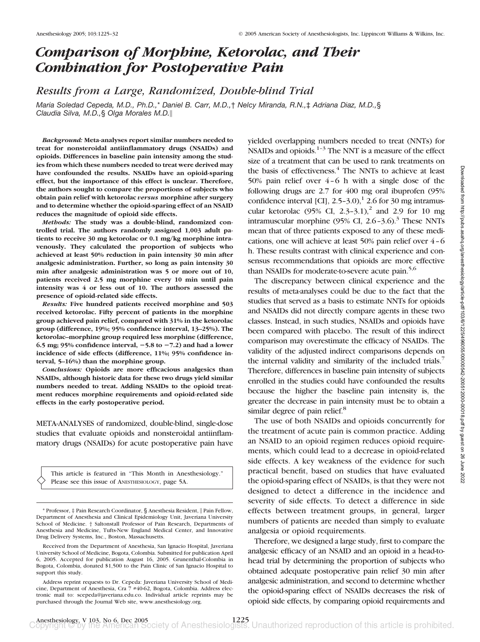# *Comparison of Morphine, Ketorolac, and Their Combination for Postoperative Pain*

*Results from a Large, Randomized, Double-blind Trial*

*Maria Soledad Cepeda, M.D., Ph.D.,*\* *Daniel B. Carr, M.D.,*† *Nelcy Miranda, R.N.,*‡ *Adriana Diaz, M.D.,*§ *Claudia Silva, M.D.,*§ *Olga Morales M.D.*

*Background:* **Meta-analyses report similar numbers needed to treat for nonsteroidal antiinflammatory drugs (NSAIDs) and opioids. Differences in baseline pain intensity among the studies from which these numbers needed to treat were derived may have confounded the results. NSAIDs have an opioid-sparing effect, but the importance of this effect is unclear. Therefore, the authors sought to compare the proportions of subjects who obtain pain relief with ketorolac** *versus* **morphine after surgery and to determine whether the opioid-sparing effect of an NSAID reduces the magnitude of opioid side effects.**

*Methods:* **The study was a double-blind, randomized controlled trial. The authors randomly assigned 1,003 adult patients to receive 30 mg ketorolac or 0.1 mg/kg morphine intravenously. They calculated the proportion of subjects who achieved at least 50% reduction in pain intensity 30 min after analgesic administration. Further, so long as pain intensity 30 min after analgesic administration was 5 or more out of 10, patients received 2.5 mg morphine every 10 min until pain intensity was 4 or less out of 10. The authors assessed the presence of opioid-related side effects.**

*Results:* **Five hundred patients received morphine and 503 received ketorolac. Fifty percent of patients in the morphine group achieved pain relief, compared with 31% in the ketorolac group (difference, 19%; 95% confidence interval, 13–25%). The ketorolac–morphine group required less morphine (difference, 6.5 mg; 95% confidence interval, 5.8 to 7.2) and had a lower incidence of side effects (difference, 11%; 95% confidence interval, 5–16%) than the morphine group.**

*Conclusions:* **Opioids are more efficacious analgesics than NSAIDs, although historic data for these two drugs yield similar numbers needed to treat. Adding NSAIDs to the opioid treatment reduces morphine requirements and opioid-related side effects in the early postoperative period.**

META-ANALYSES of randomized, double-blind, single-dose studies that evaluate opioids and nonsteroidal antiinflammatory drugs (NSAIDs) for acute postoperative pain have

This article is featured in "This Month in Anesthesiology." Please see this issue of ANESTHESIOLOGY, page 5A.

yielded overlapping numbers needed to treat (NNTs) for NSAIDs and opioids. $1-3$  The NNT is a measure of the effect size of a treatment that can be used to rank treatments on the basis of effectiveness. $4$  The NNTs to achieve at least 50% pain relief over 4–6 h with a single dose of the following drugs are 2.7 for 400 mg oral ibuprofen (95% confidence interval [CI],  $2.5$ -3.0),<sup>1</sup> 2.6 for 30 mg intramuscular ketorolac  $(95\% \text{ CI}, 2.3-3.1)$ , and 2.9 for 10 mg intramuscular morphine  $(95\% \text{ CI}, 2.6-3.6).$ <sup>3</sup> These NNTs mean that of three patients exposed to any of these medications, one will achieve at least 50% pain relief over 4–6 h. These results contrast with clinical experience and consensus recommendations that opioids are more effective than NSAIDs for moderate-to-severe acute pain.<sup>5,6</sup>

The discrepancy between clinical experience and the results of meta-analyses could be due to the fact that the studies that served as a basis to estimate NNTs for opioids and NSAIDs did not directly compare agents in these two classes. Instead, in such studies, NSAIDs and opioids have been compared with placebo. The result of this indirect comparison may overestimate the efficacy of NSAIDs. The validity of the adjusted indirect comparisons depends on the internal validity and similarity of the included trials.<sup>7</sup> Therefore, differences in baseline pain intensity of subjects enrolled in the studies could have confounded the results because the higher the baseline pain intensity is, the greater the decrease in pain intensity must be to obtain a similar degree of pain relief.<sup>8</sup>

The use of both NSAIDs and opioids concurrently for the treatment of acute pain is common practice. Adding an NSAID to an opioid regimen reduces opioid requirements, which could lead to a decrease in opioid-related side effects. A key weakness of the evidence for such practical benefit, based on studies that have evaluated the opioid-sparing effect of NSAIDs, is that they were not designed to detect a difference in the incidence and severity of side effects. To detect a difference in side effects between treatment groups, in general, larger numbers of patients are needed than simply to evaluate analgesia or opioid requirements.

Therefore, we designed a large study, first to compare the analgesic efficacy of an NSAID and an opioid in a head-tohead trial by determining the proportion of subjects who obtained adequate postoperative pain relief 30 min after analgesic administration, and second to determine whether the opioid-sparing effect of NSAIDs decreases the risk of opioid side effects, by comparing opioid requirements and

<sup>\*</sup> Professor, ‡ Pain Research Coordinator, § Anesthesia Resident, Pain Fellow, Department of Anesthesia and Clinical Epidemiology Unit, Javeriana University School of Medicine. † Saltonstall Professor of Pain Research, Departments of Anesthesia and Medicine, Tufts-New England Medical Center, and Innovative Drug Delivery Systems, Inc., Boston, Massachusetts.

Received from the Department of Anesthesia, San Ignacio Hospital, Javeriana University School of Medicine, Bogota, Colombia. Submitted for publication April 6, 2005. Accepted for publication August 16, 2005. Grunenthal-Colombia in Bogota, Colombia, donated \$1,500 to the Pain Clinic of San Ignacio Hospital to support this study.

Address reprint requests to Dr. Cepeda: Javeriana University School of Medicine, Department of Anesthesia, Cra 7 #40-62, Bogota, Colombia. Address electronic mail to: scepeda@javeriana.edu.co. Individual article reprints may be purchased through the Journal Web site, www.anesthesiology.org.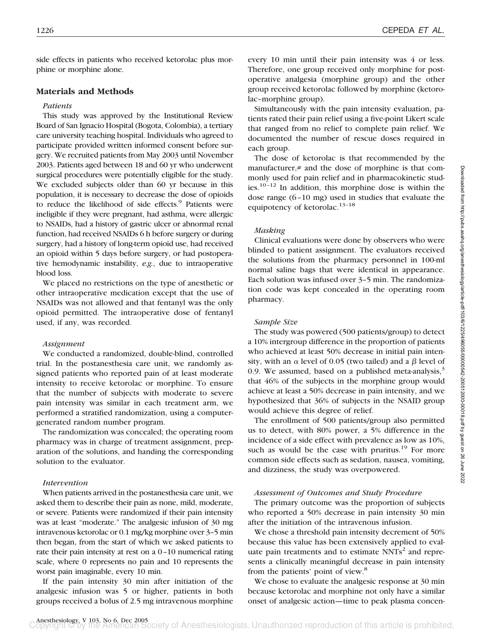side effects in patients who received ketorolac plus morphine or morphine alone.

# **Materials and Methods**

# *Patients*

This study was approved by the Institutional Review Board of San Ignacio Hospital (Bogota, Colombia), a tertiary care university teaching hospital. Individuals who agreed to participate provided written informed consent before surgery. We recruited patients from May 2003 until November 2003. Patients aged between 18 and 60 yr who underwent surgical procedures were potentially eligible for the study. We excluded subjects older than 60 yr because in this population, it is necessary to decrease the dose of opioids to reduce the likelihood of side effects.<sup>9</sup> Patients were ineligible if they were pregnant, had asthma, were allergic to NSAIDs, had a history of gastric ulcer or abnormal renal function, had received NSAIDs 6 h before surgery or during surgery, had a history of long-term opioid use, had received an opioid within 5 days before surgery, or had postoperative hemodynamic instability, *e.g.*, due to intraoperative blood loss.

We placed no restrictions on the type of anesthetic or other intraoperative medication except that the use of NSAIDs was not allowed and that fentanyl was the only opioid permitted. The intraoperative dose of fentanyl used, if any, was recorded.

## *Assignment*

We conducted a randomized, double-blind, controlled trial. In the postanesthesia care unit, we randomly assigned patients who reported pain of at least moderate intensity to receive ketorolac or morphine. To ensure that the number of subjects with moderate to severe pain intensity was similar in each treatment arm, we performed a stratified randomization, using a computergenerated random number program.

The randomization was concealed; the operating room pharmacy was in charge of treatment assignment, preparation of the solutions, and handing the corresponding solution to the evaluator.

# *Intervention*

When patients arrived in the postanesthesia care unit, we asked them to describe their pain as none, mild, moderate, or severe. Patients were randomized if their pain intensity was at least "moderate." The analgesic infusion of 30 mg intravenous ketorolac or 0.1 mg/kg morphine over 3–5 min then began, from the start of which we asked patients to rate their pain intensity at rest on a 0–10 numerical rating scale, where 0 represents no pain and 10 represents the worst pain imaginable, every 10 min.

If the pain intensity 30 min after initiation of the analgesic infusion was 5 or higher, patients in both groups received a bolus of 2.5 mg intravenous morphine every 10 min until their pain intensity was 4 or less. Therefore, one group received only morphine for postoperative analgesia (morphine group) and the other group received ketorolac followed by morphine (ketorolac–morphine group).

Simultaneously with the pain intensity evaluation, patients rated their pain relief using a five-point Likert scale that ranged from no relief to complete pain relief. We documented the number of rescue doses required in each group.

The dose of ketorolac is that recommended by the manufacturer,# and the dose of morphine is that commonly used for pain relief and in pharmacokinetic studies.10–12 In addition, this morphine dose is within the dose range (6–10 mg) used in studies that evaluate the equipotency of ketorolac.<sup>13-18</sup>

# *Masking*

Clinical evaluations were done by observers who were blinded to patient assignment. The evaluators received the solutions from the pharmacy personnel in 100-ml normal saline bags that were identical in appearance. Each solution was infused over 3–5 min. The randomization code was kept concealed in the operating room pharmacy.

# *Sample Size*

The study was powered (500 patients/group) to detect a 10% intergroup difference in the proportion of patients who achieved at least 50% decrease in initial pain intensity, with an  $\alpha$  level of 0.05 (two tailed) and a  $\beta$  level of 0.9. We assumed, based on a published meta-analysis, $3$ that 46% of the subjects in the morphine group would achieve at least a 50% decrease in pain intensity, and we hypothesized that 36% of subjects in the NSAID group would achieve this degree of relief.

The enrollment of 500 patients/group also permitted us to detect, with 80% power, a 5% difference in the incidence of a side effect with prevalence as low as 10%, such as would be the case with pruritus.<sup>19</sup> For more common side effects such as sedation, nausea, vomiting, and dizziness, the study was overpowered.

# *Assessment of Outcomes and Study Procedure*

The primary outcome was the proportion of subjects who reported a 50% decrease in pain intensity 30 min after the initiation of the intravenous infusion.

We chose a threshold pain intensity decrement of 50% because this value has been extensively applied to evaluate pain treatments and to estimate  $NNTs<sup>2</sup>$  and represents a clinically meaningful decrease in pain intensity from the patients' point of view.<sup>8</sup>

We chose to evaluate the analgesic response at 30 min because ketorolac and morphine not only have a similar onset of analgesic action—time to peak plasma concen-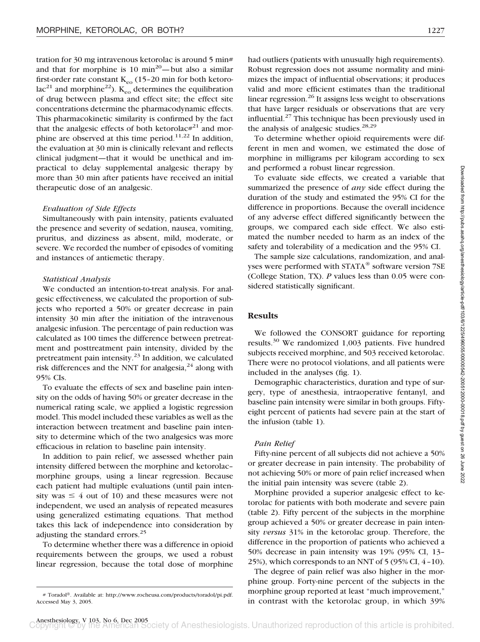tration for 30 mg intravenous ketorolac is around 5 min# and that for morphine is 10  $\text{min}^{20}$ —but also a similar first-order rate constant  $K_{\text{eo}}$  (15–20 min for both ketoro $lac^{21}$  and morphine<sup>22</sup>). K<sub>eo</sub> determines the equilibration of drug between plasma and effect site; the effect site concentrations determine the pharmacodynamic effects. This pharmacokinetic similarity is confirmed by the fact that the analgesic effects of both ketorolac $\#^{21}$  and morphine are observed at this time period.<sup>11,22</sup> In addition, the evaluation at 30 min is clinically relevant and reflects clinical judgment—that it would be unethical and impractical to delay supplemental analgesic therapy by more than 30 min after patients have received an initial therapeutic dose of an analgesic.

#### *Evaluation of Side Effects*

Simultaneously with pain intensity, patients evaluated the presence and severity of sedation, nausea, vomiting, pruritus, and dizziness as absent, mild, moderate, or severe. We recorded the number of episodes of vomiting and instances of antiemetic therapy.

#### *Statistical Analysis*

We conducted an intention-to-treat analysis. For analgesic effectiveness, we calculated the proportion of subjects who reported a 50% or greater decrease in pain intensity 30 min after the initiation of the intravenous analgesic infusion. The percentage of pain reduction was calculated as 100 times the difference between pretreatment and posttreatment pain intensity, divided by the pretreatment pain intensity.23 In addition, we calculated risk differences and the NNT for analgesia, $^{24}$  along with 95% CIs.

To evaluate the effects of sex and baseline pain intensity on the odds of having 50% or greater decrease in the numerical rating scale, we applied a logistic regression model. This model included these variables as well as the interaction between treatment and baseline pain intensity to determine which of the two analgesics was more efficacious in relation to baseline pain intensity.

In addition to pain relief, we assessed whether pain intensity differed between the morphine and ketorolac– morphine groups, using a linear regression. Because each patient had multiple evaluations (until pain intensity was  $\leq 4$  out of 10) and these measures were not independent, we used an analysis of repeated measures using generalized estimating equations. That method takes this lack of independence into consideration by adjusting the standard errors.<sup>25</sup>

To determine whether there was a difference in opioid requirements between the groups, we used a robust linear regression, because the total dose of morphine had outliers (patients with unusually high requirements). Robust regression does not assume normality and minimizes the impact of influential observations; it produces valid and more efficient estimates than the traditional linear regression. $^{26}$  It assigns less weight to observations that have larger residuals or observations that are very influential.<sup>27</sup> This technique has been previously used in the analysis of analgesic studies. $28,29$ 

To determine whether opioid requirements were different in men and women, we estimated the dose of morphine in milligrams per kilogram according to sex and performed a robust linear regression.

To evaluate side effects, we created a variable that summarized the presence of *any* side effect during the duration of the study and estimated the 95% CI for the difference in proportions. Because the overall incidence of any adverse effect differed significantly between the groups, we compared each side effect. We also estimated the number needed to harm as an index of the safety and tolerability of a medication and the 95% CI.

The sample size calculations, randomization, and analyses were performed with STATA® software version 7SE (College Station, TX). *P* values less than 0.05 were considered statistically significant.

## **Results**

We followed the CONSORT guidance for reporting results.<sup>30</sup> We randomized 1,003 patients. Five hundred subjects received morphine, and 503 received ketorolac. There were no protocol violations, and all patients were included in the analyses (fig. 1).

Demographic characteristics, duration and type of surgery, type of anesthesia, intraoperative fentanyl, and baseline pain intensity were similar in both groups. Fiftyeight percent of patients had severe pain at the start of the infusion (table 1).

#### *Pain Relief*

Fifty-nine percent of all subjects did not achieve a 50% or greater decrease in pain intensity. The probability of not achieving 50% or more of pain relief increased when the initial pain intensity was severe (table 2).

Morphine provided a superior analgesic effect to ketorolac for patients with both moderate and severe pain (table 2). Fifty percent of the subjects in the morphine group achieved a 50% or greater decrease in pain intensity *versus* 31% in the ketorolac group. Therefore, the difference in the proportion of patients who achieved a 50% decrease in pain intensity was 19% (95% CI, 13– 25%), which corresponds to an NNT of 5 (95% CI, 4–10).

The degree of pain relief was also higher in the morphine group. Forty-nine percent of the subjects in the morphine group reported at least "much improvement," in contrast with the ketorolac group, in which 39%

<sup>#</sup> Toradol®. Available at: http://www.rocheusa.com/products/toradol/pi.pdf. Accessed May 3, 2005.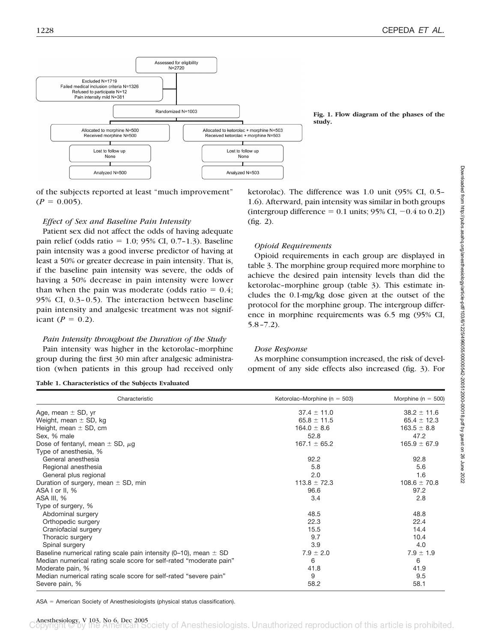

of the subjects reported at least "much improvement"  $(P = 0.005)$ .

# *Effect of Sex and Baseline Pain Intensity*

Patient sex did not affect the odds of having adequate pain relief (odds ratio  $= 1.0$ ; 95% CI, 0.7-1.3). Baseline pain intensity was a good inverse predictor of having at least a 50% or greater decrease in pain intensity. That is, if the baseline pain intensity was severe, the odds of having a 50% decrease in pain intensity were lower than when the pain was moderate (odds ratio  $= 0.4$ ; 95% CI, 0.3–0.5). The interaction between baseline pain intensity and analgesic treatment was not significant ( $P = 0.2$ ).

## *Pain Intensity throughout the Duration of the Study*

Pain intensity was higher in the ketorolac–morphine group during the first 30 min after analgesic administration (when patients in this group had received only

**Table 1. Characteristics of the Subjects Evaluated**

ketorolac). The difference was 1.0 unit (95% CI, 0.5– 1.6). Afterward, pain intensity was similar in both groups  $($ intergroup difference = 0.1 units; 95% CI,  $-0.4$  to 0.2]) (fig. 2).

## *Opioid Requirements*

Opioid requirements in each group are displayed in table 3. The morphine group required more morphine to achieve the desired pain intensity levels than did the ketorolac–morphine group (table 3). This estimate includes the 0.1-mg/kg dose given at the outset of the protocol for the morphine group. The intergroup difference in morphine requirements was 6.5 mg (95% CI, 5.8–7.2).

## *Dose Response*

As morphine consumption increased, the risk of development of any side effects also increased (fig. 3). For

| Table 1. Characteristics of the subjects Evaluated                   |                                  |                        |  |  |
|----------------------------------------------------------------------|----------------------------------|------------------------|--|--|
| Characteristic                                                       | Ketorolac-Morphine ( $n = 503$ ) | Morphine ( $n = 500$ ) |  |  |
| Age, mean $\pm$ SD, yr                                               | $37.4 \pm 11.0$                  | $38.2 \pm 11.6$        |  |  |
| Weight, mean $\pm$ SD, kg                                            | $65.8 \pm 11.5$                  | $65.4 \pm 12.3$        |  |  |
| Height, mean $\pm$ SD, cm                                            | $164.0 \pm 8.6$                  | $163.5 \pm 8.8$        |  |  |
| Sex, % male                                                          | 52.8                             | 47.2                   |  |  |
| Dose of fentanyl, mean $\pm$ SD, $\mu$ g                             | $167.1 \pm 65.2$                 | $165.9 \pm 67.9$       |  |  |
| Type of anesthesia, %                                                |                                  |                        |  |  |
| General anesthesia                                                   | 92.2                             | 92.8                   |  |  |
| Regional anesthesia                                                  | 5.8                              | 5.6                    |  |  |
| General plus regional                                                | 2.0                              | 1.6                    |  |  |
| Duration of surgery, mean $\pm$ SD, min                              | $113.8 \pm 72.3$                 | $108.6 \pm 70.8$       |  |  |
| ASA I or II, %                                                       | 96.6                             | 97.2                   |  |  |
| ASA III, %                                                           | 3.4                              | 2.8                    |  |  |
| Type of surgery, %                                                   |                                  |                        |  |  |
| Abdominal surgery                                                    | 48.5                             | 48.8                   |  |  |
| Orthopedic surgery                                                   | 22.3                             | 22.4                   |  |  |
| Craniofacial surgery                                                 | 15.5                             | 14.4                   |  |  |
| Thoracic surgery                                                     | 9.7                              | 10.4                   |  |  |
| Spinal surgery                                                       | 3.9                              | 4.0                    |  |  |
| Baseline numerical rating scale pain intensity (0–10), mean $\pm$ SD | $7.9 \pm 2.0$                    | $7.9 \pm 1.9$          |  |  |
| Median numerical rating scale score for self-rated "moderate pain"   | 6                                | 6                      |  |  |
| Moderate pain, %                                                     | 41.8                             | 41.9                   |  |  |
| Median numerical rating scale score for self-rated "severe pain"     | 9                                | 9.5                    |  |  |
| Severe pain, %                                                       | 58.2                             | 58.1                   |  |  |
|                                                                      |                                  |                        |  |  |

 $ASA = American Society of Anesthesiologists (physical status classification).$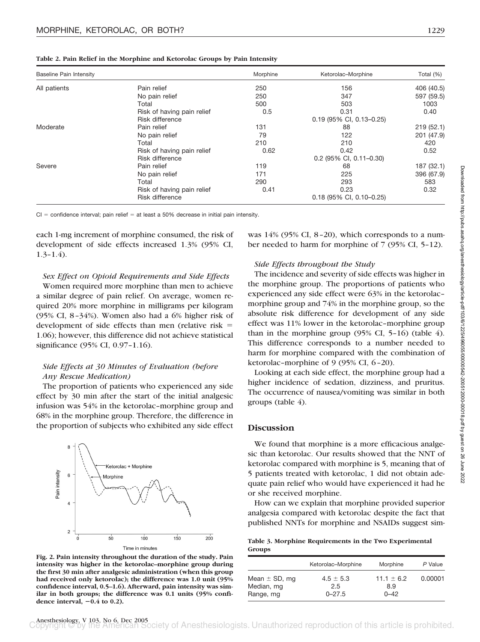| <b>Baseline Pain Intensity</b> |                            | Morphine                   | Ketorolac-Morphine | Total (%)  |
|--------------------------------|----------------------------|----------------------------|--------------------|------------|
| All patients                   | Pain relief                | 250                        | 156                | 406 (40.5) |
|                                | No pain relief             | 250                        | 347                | 597 (59.5) |
|                                | Total                      | 500                        | 503                | 1003       |
|                                | Risk of having pain relief | 0.5                        | 0.31               | 0.40       |
|                                | Risk difference            | $0.19$ (95% CI, 0.13-0.25) |                    |            |
| Moderate                       | Pain relief                | 131                        | 88                 | 219(52.1)  |
|                                | No pain relief             | 79                         | 122                | 201 (47.9) |
|                                | Total                      | 210                        | 210                | 420        |
|                                | Risk of having pain relief | 0.62                       | 0.42               | 0.52       |
|                                | Risk difference            | 0.2 (95% CI, 0.11-0.30)    |                    |            |
| Severe                         | Pain relief                | 119                        | 68                 | 187 (32.1) |
|                                | No pain relief             | 171                        | 225                | 396 (67.9) |
|                                | Total                      | 290                        | 293                | 583        |
|                                | Risk of having pain relief | 0.41                       | 0.23               | 0.32       |
|                                | Risk difference            | $0.18$ (95% CI, 0.10-0.25) |                    |            |

**Table 2. Pain Relief in the Morphine and Ketorolac Groups by Pain Intensity**

 $CI =$  confidence interval; pain relief  $=$  at least a 50% decrease in initial pain intensity.

each 1-mg increment of morphine consumed, the risk of development of side effects increased 1.3% (95% CI,  $1.3-1.4$ ).

#### *Sex Effect on Opioid Requirements and Side Effects*

Women required more morphine than men to achieve a similar degree of pain relief. On average, women required 20% more morphine in milligrams per kilogram (95% CI, 8–34%). Women also had a 6% higher risk of development of side effects than men (relative risk 1.06); however, this difference did not achieve statistical significance (95% CI, 0.97–1.16).

## *Side Effects at 30 Minutes of Evaluation (before Any Rescue Medication)*

The proportion of patients who experienced any side effect by 30 min after the start of the initial analgesic infusion was 54% in the ketorolac–morphine group and 68% in the morphine group. Therefore, the difference in the proportion of subjects who exhibited any side effect



**Fig. 2. Pain intensity throughout the duration of the study. Pain intensity was higher in the ketorolac–morphine group during the first 30 min after analgesic administration (when this group had received only ketorolac); the difference was 1.0 unit (95% confidence interval, 0.5–1.6). Afterward, pain intensity was similar in both groups; the difference was 0.1 units (95% confi**dence interval,  $-0.4$  to 0.2).

was 14% (95% CI, 8–20), which corresponds to a number needed to harm for morphine of 7 (95% CI, 5–12).

#### *Side Effects throughout the Study*

The incidence and severity of side effects was higher in the morphine group. The proportions of patients who experienced any side effect were 63% in the ketorolac– morphine group and 74% in the morphine group, so the absolute risk difference for development of any side effect was 11% lower in the ketorolac–morphine group than in the morphine group  $(95\% \text{ CI}, 5\text{-}16)$  (table 4). This difference corresponds to a number needed to harm for morphine compared with the combination of ketorolac–morphine of 9 (95% CI, 6–20).

Looking at each side effect, the morphine group had a higher incidence of sedation, dizziness, and pruritus. The occurrence of nausea/vomiting was similar in both groups (table 4).

## **Discussion**

We found that morphine is a more efficacious analgesic than ketorolac. Our results showed that the NNT of ketorolac compared with morphine is 5, meaning that of 5 patients treated with ketorolac, 1 did not obtain adequate pain relief who would have experienced it had he or she received morphine.

How can we explain that morphine provided superior analgesia compared with ketorolac despite the fact that published NNTs for morphine and NSAIDs suggest sim-

**Table 3. Morphine Requirements in the Two Experimental Groups**

|                                 | Ketorolac-Morphine   | Morphine              | P Value |
|---------------------------------|----------------------|-----------------------|---------|
| Mean $\pm$ SD, mg<br>Median, mg | $4.5 \pm 5.3$<br>2.5 | 11.1 $\pm$ 6.2<br>8.9 | 0.00001 |
| Range, mg                       | $0 - 27.5$           | $0 - 42$              |         |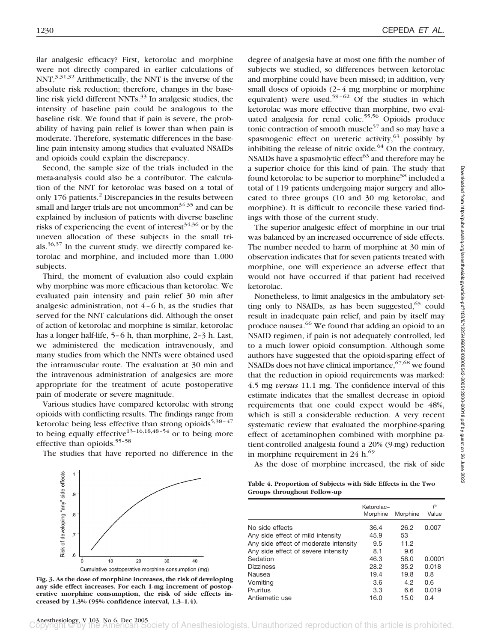ilar analgesic efficacy? First, ketorolac and morphine were not directly compared in earlier calculations of NNT.<sup>3,31,32</sup> Arithmetically, the NNT is the inverse of the absolute risk reduction; therefore, changes in the baseline risk yield different NNTs. $33$  In analgesic studies, the intensity of baseline pain could be analogous to the baseline risk. We found that if pain is severe, the probability of having pain relief is lower than when pain is moderate. Therefore, systematic differences in the baseline pain intensity among studies that evaluated NSAIDs and opioids could explain the discrepancy.

Second, the sample size of the trials included in the meta-analysis could also be a contributor. The calculation of the NNT for ketorolac was based on a total of only 176 patients.<sup>2</sup> Discrepancies in the results between small and larger trials are not uncommon $34,35$  and can be explained by inclusion of patients with diverse baseline risks of experiencing the event of interest $34,36$  or by the uneven allocation of these subjects in the small trials. $36,37$  In the current study, we directly compared ketorolac and morphine, and included more than 1,000 subjects.

Third, the moment of evaluation also could explain why morphine was more efficacious than ketorolac. We evaluated pain intensity and pain relief 30 min after analgesic administration, not 4–6 h, as the studies that served for the NNT calculations did. Although the onset of action of ketorolac and morphine is similar, ketorolac has a longer half-life, 5–6 h, than morphine, 2–3 h. Last, we administered the medication intravenously, and many studies from which the NNTs were obtained used the intramuscular route. The evaluation at 30 min and the intravenous administration of analgesics are more appropriate for the treatment of acute postoperative pain of moderate or severe magnitude.

Various studies have compared ketorolac with strong opioids with conflicting results. The findings range from ketorolac being less effective than strong opioids $5,38-47$ to being equally effective<sup>13–16,18,48–54</sup> or to being more effective than opioids.<sup>55-58</sup>

The studies that have reported no difference in the





degree of analgesia have at most one fifth the number of subjects we studied, so differences between ketorolac and morphine could have been missed; in addition, very small doses of opioids (2–4 mg morphine or morphine equivalent) were used.<sup>59-62</sup> Of the studies in which ketorolac was more effective than morphine, two evaluated analgesia for renal colic.<sup>55,56</sup> Opioids produce tonic contraction of smooth muscle $57$  and so may have a spasmogenic effect on ureteric activity,  $63$  possibly by inhibiting the release of nitric oxide. $64$  On the contrary, NSAIDs have a spasmolytic effect $63$  and therefore may be a superior choice for this kind of pain. The study that found ketorolac to be superior to morphine<sup>58</sup> included a total of 119 patients undergoing major surgery and allocated to three groups (10 and 30 mg ketorolac, and morphine). It is difficult to reconcile these varied findings with those of the current study.

The superior analgesic effect of morphine in our trial was balanced by an increased occurrence of side effects. The number needed to harm of morphine at 30 min of observation indicates that for seven patients treated with morphine, one will experience an adverse effect that would not have occurred if that patient had received ketorolac.

Nonetheless, to limit analgesics in the ambulatory setting only to NSAIDs, as has been suggested,  $65$  could result in inadequate pain relief, and pain by itself may produce nausea.<sup>66</sup> We found that adding an opioid to an NSAID regimen, if pain is not adequately controlled, led to a much lower opioid consumption. Although some authors have suggested that the opioid-sparing effect of NSAIDs does not have clinical importance, <sup>67,68</sup> we found that the reduction in opioid requirements was marked: 4.5 mg *versus* 11.1 mg. The confidence interval of this estimate indicates that the smallest decrease in opioid requirements that one could expect would be 48%, which is still a considerable reduction. A very recent systematic review that evaluated the morphine-sparing effect of acetaminophen combined with morphine patient-controlled analgesia found a 20% (9-mg) reduction in morphine requirement in 24  $h<sup>69</sup>$ 

As the dose of morphine increased, the risk of side

| Table 4. Proportion of Subjects with Side Effects in the Two |  |  |
|--------------------------------------------------------------|--|--|
| Groups throughout Follow-up                                  |  |  |

|                                       | Ketorolac-<br>Morphine | Morphine | P<br>Value |
|---------------------------------------|------------------------|----------|------------|
| No side effects                       | 36.4                   | 26.2     | 0.007      |
| Any side effect of mild intensity     | 45.9                   | 53       |            |
| Any side effect of moderate intensity | 9.5                    | 11.2     |            |
| Any side effect of severe intensity   | 8.1                    | 9.6      |            |
| Sedation                              | 46.3                   | 58.0     | 0.0001     |
| <b>Dizziness</b>                      | 28.2                   | 35.2     | 0.018      |
| Nausea                                | 19.4                   | 19.8     | 0.8        |
| Vomiting                              | 3.6                    | 4.2      | 0.6        |
| Pruritus                              | 3.3                    | 6.6      | 0.019      |
| Antiemetic use                        | 16.0                   | 15.0     | 0.4        |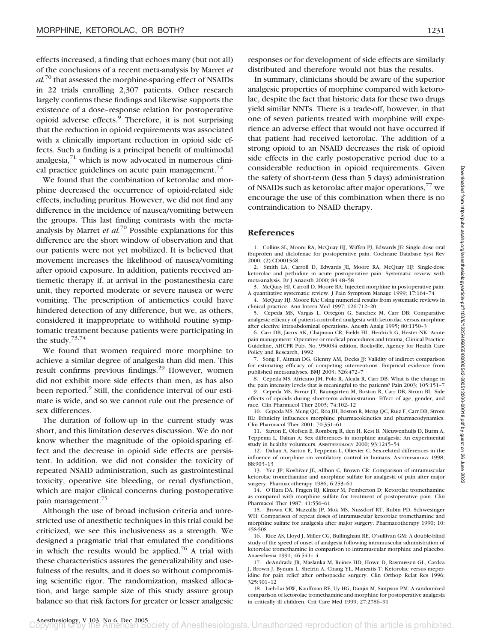effects increased, a finding that echoes many (but not all) of the conclusions of a recent meta-analysis by Marret *et al.*<sup>70</sup> that assessed the morphine-sparing effect of NSAIDs in 22 trials enrolling 2,307 patients. Other research largely confirms these findings and likewise supports the existence of a dose–response relation for postoperative opioid adverse effects.<sup>9</sup> Therefore, it is not surprising that the reduction in opioid requirements was associated with a clinically important reduction in opioid side effects. Such a finding is a principal benefit of multimodal analgesia, $71$  which is now advocated in numerous clinical practice guidelines on acute pain management.<sup>72</sup>

We found that the combination of ketorolac and morphine decreased the occurrence of opioid-related side effects, including pruritus. However, we did not find any difference in the incidence of nausea/vomiting between the groups. This last finding contrasts with the metaanalysis by Marret *et al.*<sup>70</sup> Possible explanations for this difference are the short window of observation and that our patients were not yet mobilized. It is believed that movement increases the likelihood of nausea/vomiting after opioid exposure. In addition, patients received antiemetic therapy if, at arrival in the postanesthesia care unit, they reported moderate or severe nausea or were vomiting. The prescription of antiemetics could have hindered detection of any difference, but we, as others, considered it inappropriate to withhold routine symptomatic treatment because patients were participating in the study. $73,74$ 

We found that women required more morphine to achieve a similar degree of analgesia than did men. This result confirms previous findings.<sup>29</sup> However, women did not exhibit more side effects than men, as has also been reported.<sup>9</sup> Still, the confidence interval of our estimate is wide, and so we cannot rule out the presence of sex differences.

The duration of follow-up in the current study was short, and this limitation deserves discussion. We do not know whether the magnitude of the opioid-sparing effect and the decrease in opioid side effects are persistent. In addition, we did not consider the toxicity of repeated NSAID administration, such as gastrointestinal toxicity, operative site bleeding, or renal dysfunction, which are major clinical concerns during postoperative pain management.75

Although the use of broad inclusion criteria and unrestricted use of anesthetic techniques in this trial could be criticized, we see this inclusiveness as a strength. We designed a pragmatic trial that emulated the conditions in which the results would be applied.<sup>76</sup> A trial with these characteristics assures the generalizability and usefulness of the results, and it does so without compromising scientific rigor. The randomization, masked allocation, and large sample size of this study assure group balance so that risk factors for greater or lesser analgesic

responses or for development of side effects are similarly distributed and therefore would not bias the results.

In summary, clinicians should be aware of the superior analgesic properties of morphine compared with ketorolac, despite the fact that historic data for these two drugs yield similar NNTs. There is a trade-off, however, in that one of seven patients treated with morphine will experience an adverse effect that would not have occurred if that patient had received ketorolac. The addition of a strong opioid to an NSAID decreases the risk of opioid side effects in the early postoperative period due to a considerable reduction in opioid requirements. Given the safety of short-term (less than 5 days) administration of NSAIDs such as ketorolac after major operations,  $77$  we encourage the use of this combination when there is no contraindication to NSAID therapy.

# **References**

1. Collins SL, Moore RA, McQuay HJ, Wiffen PJ, Edwards JE: Single dose oral ibuprofen and diclofenac for postoperative pain. Cochrane Database Syst Rev 2000; (2):CD001548

2. Smith LA, Carroll D, Edwards JE, Moore RA, McQuay HJ: Single-dose ketorolac and pethidine in acute postoperative pain: Systematic review with meta-analysis. Br J Anaesth 2000; 84:48–58

3. McQuay HJ, Carroll D, Moore RA: Injected morphine in postoperative pain: A quantitative systematic review. J Pain Symptom Manage 1999; 17:164–74

4. McQuay HJ, Moore RA: Using numerical results from systematic reviews in clinical practice. Ann Intern Med 1997; 126:712–20

5. Cepeda MS, Vargas L, Ortegon G, Sanchez M, Carr DB: Comparative analgesic efficacy of patient-controlled analgesia with ketorolac versus morphine after elective intra-abdominal operations. Anesth Analg 1995; 80:1150–3

6. Carr DB, Jacox AK, Chapman CR, Fields HL, Heidrich G, Hester NK: Acute pain management: Operative or medical procedures and trauma, Clinical Practice Guideline, AHCPR Pub. No. 950034 edition. Rockville, Agency for Health Care Policy and Research, 1992

7. Song F, Altman DG, Glenny AM, Deeks JJ: Validity of indirect comparison for estimating efficacy of competing interventions: Empirical evidence from published meta-analyses. BMJ 2003; 326:472–7

8. Cepeda MS, Africano JM, Polo R, Alcala R, Carr DB: What is the change in the pain intensity levels that is meaningful to the patients? Pain 2003; 105:151–7

9. Cepeda MS, Farrar JT, Baumgarten M, Boston R, Carr DB, Strom BL: Side effects of opioids during short-term administration: Effect of age, gender, and race. Clin Pharmacol Ther 2003; 74:102–12

10. Cepeda MS, Meng QC, Roa JH, Boston R, Meng QC, Ruiz F, Carr DB, Strom BL: Ethnicity influences morphine pharmacokinetics and pharmacodynamics. Clin Pharmacol Ther 2001; 70:351–61

11. Sarton E, Olofsen E, Romberg R, den H, Kest B, Nieuwenhuijs D, Burm A, Teppema L, Dahan A: Sex differences in morphine analgesia: An experimental study in healthy volunteers. ANESTHESIOLOGY 2000; 93:1245–54

12. Dahan A, Sarton E, Teppema L, Olievier C: Sex-related differences in the influence of morphine on ventilatory control in humans. ANESTHESIOLOGY 1998; 88:903–13

13. Yee JP, Koshiver JE, Allbon C, Brown CR: Comparison of intramuscular ketorolac tromethamine and morphine sulfate for analgesia of pain after major surgery. Pharmacotherapy 1986; 6:253–61

14. O'Hara DA, Fragen RJ, Kinzer M, Pemberton D: Ketorolac tromethamine as compared with morphine sulfate for treatment of postoperative pain. Clin Pharmacol Ther 1987; 41:556–61

15. Brown CR, Mazzulla JP, Mok MS, Nussdorf RT, Rubin PD, Schwesinger WH: Comparison of repeat doses of intramuscular ketorolac tromethamine and morphine sulfate for analgesia after major surgery. Pharmacotherapy 1990; 10: 45S-50S

16. Rice AS, Lloyd J, Miller CG, Bullingham RE, O'sullivan GM: A double-blind study of the speed of onset of analgesia following intramuscular administration of ketorolac tromethamine in comparison to intramuscular morphine and placebo. Anaesthesia 1991; 46:541– 4

17. deAndrade JR, Maslanka M, Reines HD, Howe D, Rasmussen GL, Cardea J, Brown J, Bynum L, Shefrin A, Chang YL, Maneatis T: Ketorolac versus meperidine for pain relief after orthopaedic surgery. Clin Orthop Relat Res 1996; 325:301–12

18. Lieh-Lai MW, Kauffman RE, Uy HG, Danjin M, Simpson PM: A randomized comparison of ketorolac tromethamine and morphine for postoperative analgesia in critically ill children. Crit Care Med 1999; 27:2786–91